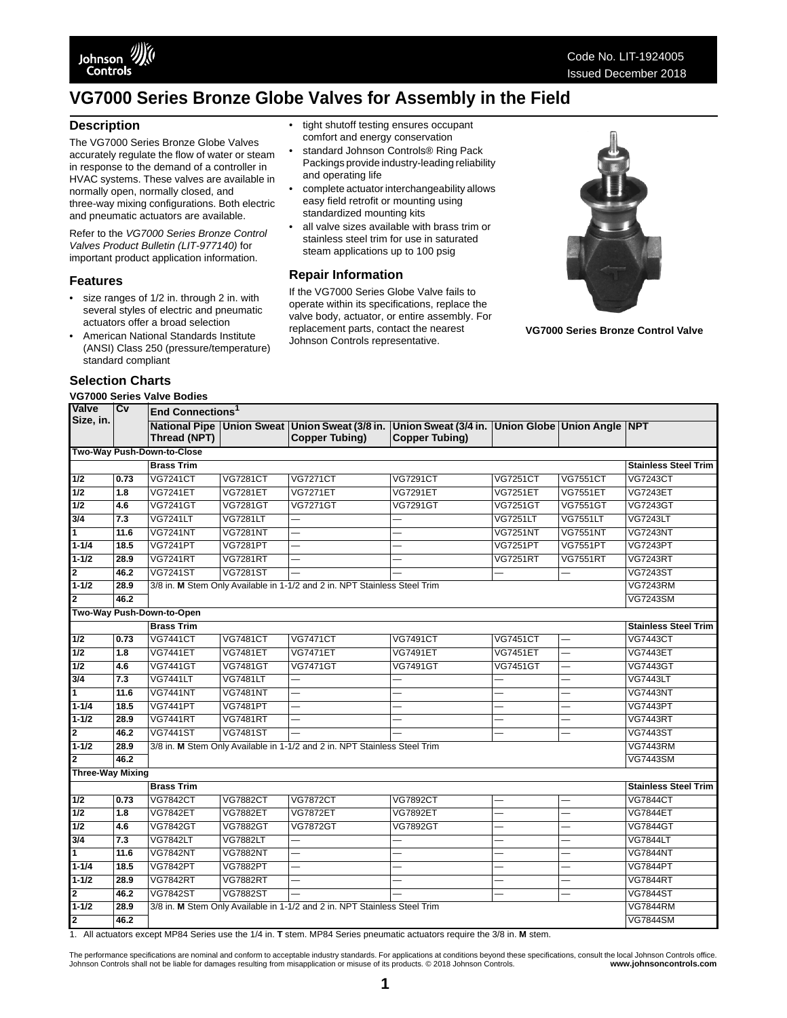

### **Description**

The VG7000 Series Bronze Globe Valves accurately regulate the flow of water or steam in response to the demand of a controller in HVAC systems. These valves are available in normally open, normally closed, and three-way mixing configurations. Both electric and pneumatic actuators are available.

Refer to the *VG7000 Series Bronze Control Valves Product Bulletin (LIT-977140)* for important product application information.

#### **Features**

- size ranges of 1/2 in. through 2 in. with several styles of electric and pneumatic actuators offer a broad selection
- American National Standards Institute (ANSI) Class 250 (pressure/temperature) standard compliant

### **Selection Charts**

### **VG7000 Series Valve Bodies**

- tight shutoff testing ensures occupant comfort and energy conservation
- standard Johnson Controls® Ring Pack Packings provide industry-leading reliability and operating life
- complete actuator interchangeability allows easy field retrofit or mounting using standardized mounting kits
- all valve sizes available with brass trim or stainless steel trim for use in saturated steam applications up to 100 psig

#### **Repair Information**

If the VG7000 Series Globe Valve fails to operate within its specifications, replace the valve body, actuator, or entire assembly. For replacement parts, contact the nearest Johnson Controls representative.



**VG7000 Series Bronze Control Valve**

| Valve                      | Cv   |                           | End Connections <sup>1</sup> |                                                                           |                                                                                                                                      |                          |                          |                             |  |  |  |
|----------------------------|------|---------------------------|------------------------------|---------------------------------------------------------------------------|--------------------------------------------------------------------------------------------------------------------------------------|--------------------------|--------------------------|-----------------------------|--|--|--|
| Size, in.                  |      | Thread (NPT)              |                              | <b>Copper Tubing)</b>                                                     | National Pipe   Union Sweat   Union Sweat (3/8 in.   Union Sweat (3/4 in.   Union Globe   Union Angle   NPT<br><b>Copper Tubing)</b> |                          |                          |                             |  |  |  |
| Two-Way Push-Down-to-Close |      |                           |                              |                                                                           |                                                                                                                                      |                          |                          |                             |  |  |  |
|                            |      | <b>Brass Trim</b>         | <b>Stainless Steel Trim</b>  |                                                                           |                                                                                                                                      |                          |                          |                             |  |  |  |
| 1/2                        | 0.73 | <b>VG7241CT</b>           | <b>VG7281CT</b>              | <b>VG7271CT</b>                                                           | <b>VG7291CT</b>                                                                                                                      | <b>VG7251CT</b>          | <b>VG7551CT</b>          | <b>VG7243CT</b>             |  |  |  |
| 1/2                        | 1.8  | <b>VG7241ET</b>           | <b>VG7281ET</b>              | <b>VG7271ET</b>                                                           | <b>VG7291ET</b>                                                                                                                      | <b>VG7251ET</b>          | <b>VG7551ET</b>          | <b>VG7243ET</b>             |  |  |  |
| 1/2                        | 4.6  | <b>VG7241GT</b>           | <b>VG7281GT</b>              | <b>VG7271GT</b>                                                           | <b>VG7291GT</b>                                                                                                                      | <b>VG7251GT</b>          | <b>VG7551GT</b>          | <b>VG7243GT</b>             |  |  |  |
| $\overline{3/4}$           | 7.3  | <b>VG7241LT</b>           | <b>VG7281LT</b>              |                                                                           |                                                                                                                                      | <b>VG7251LT</b>          | <b>VG7551LT</b>          | <b>VG7243LT</b>             |  |  |  |
| $\overline{\mathbf{1}}$    | 11.6 | <b>VG7241NT</b>           | <b>VG7281NT</b>              |                                                                           |                                                                                                                                      | <b>VG7251NT</b>          | <b>VG7551NT</b>          | <b>VG7243NT</b>             |  |  |  |
| $1 - 1/4$                  | 18.5 | <b>VG7241PT</b>           | <b>VG7281PT</b>              | $\overline{\phantom{0}}$                                                  |                                                                                                                                      | <b>VG7251PT</b>          | <b>VG7551PT</b>          | <b>VG7243PT</b>             |  |  |  |
| $1 - 1/2$                  | 28.9 | <b>VG7241RT</b>           | <b>VG7281RT</b>              |                                                                           |                                                                                                                                      | <b>VG7251RT</b>          | <b>VG7551RT</b>          | <b>VG7243RT</b>             |  |  |  |
| $\overline{\mathbf{2}}$    | 46.2 | <b>VG7241ST</b>           | <b>VG7281ST</b>              |                                                                           |                                                                                                                                      |                          |                          | <b>VG7243ST</b>             |  |  |  |
| $1 - 1/2$                  | 28.9 |                           |                              | 3/8 in. M Stem Only Available in 1-1/2 and 2 in. NPT Stainless Steel Trim |                                                                                                                                      |                          |                          | <b>VG7243RM</b>             |  |  |  |
| $\mathbf{z}$               | 46.2 |                           |                              |                                                                           |                                                                                                                                      |                          |                          | <b>VG7243SM</b>             |  |  |  |
|                            |      | Two-Way Push-Down-to-Open |                              |                                                                           |                                                                                                                                      |                          |                          |                             |  |  |  |
|                            |      | <b>Brass Trim</b>         |                              |                                                                           |                                                                                                                                      |                          |                          | <b>Stainless Steel Trim</b> |  |  |  |
| $\overline{1/2}$           | 0.73 | <b>VG7441CT</b>           | <b>VG7481CT</b>              | <b>VG7471CT</b>                                                           | <b>VG7491CT</b>                                                                                                                      | <b>VG7451CT</b>          |                          | <b>VG7443CT</b>             |  |  |  |
| 1/2                        | 1.8  | <b>VG7441ET</b>           | <b>VG7481ET</b>              | <b>VG7471ET</b>                                                           | <b>VG7491ET</b>                                                                                                                      | <b>VG7451ET</b>          |                          | <b>VG7443ET</b>             |  |  |  |
| 1/2                        | 4.6  | <b>VG7441GT</b>           | <b>VG7481GT</b>              | <b>VG7471GT</b>                                                           | <b>VG7491GT</b>                                                                                                                      | <b>VG7451GT</b>          |                          | <b>VG7443GT</b>             |  |  |  |
| $\overline{3/4}$           | 7.3  | <b>VG7441LT</b>           | <b>VG7481LT</b>              |                                                                           |                                                                                                                                      |                          |                          | <b>VG7443LT</b>             |  |  |  |
| $\overline{1}$             | 11.6 | <b>VG7441NT</b>           | <b>VG7481NT</b>              | $\overline{\phantom{0}}$                                                  |                                                                                                                                      |                          |                          | <b>VG7443NT</b>             |  |  |  |
| $1 - 1/4$                  | 18.5 | <b>VG7441PT</b>           | <b>VG7481PT</b>              | $\overline{\phantom{0}}$                                                  |                                                                                                                                      |                          |                          | <b>VG7443PT</b>             |  |  |  |
| $1 - 1/2$                  | 28.9 | <b>VG7441RT</b>           | <b>VG7481RT</b>              | $\overline{\phantom{0}}$                                                  |                                                                                                                                      |                          |                          | <b>VG7443RT</b>             |  |  |  |
| 2                          | 46.2 | <b>VG7441ST</b>           | <b>VG7481ST</b>              |                                                                           |                                                                                                                                      |                          |                          | <b>VG7443ST</b>             |  |  |  |
| $1 - 1/2$                  | 28.9 |                           |                              | 3/8 in. M Stem Only Available in 1-1/2 and 2 in. NPT Stainless Steel Trim |                                                                                                                                      |                          |                          | <b>VG7443RM</b>             |  |  |  |
| 2                          | 46.2 |                           |                              |                                                                           |                                                                                                                                      |                          |                          | <b>VG7443SM</b>             |  |  |  |
| <b>Three-Way Mixing</b>    |      |                           |                              |                                                                           |                                                                                                                                      |                          |                          |                             |  |  |  |
|                            |      | <b>Brass Trim</b>         |                              |                                                                           |                                                                                                                                      |                          |                          | <b>Stainless Steel Trim</b> |  |  |  |
| 1/2                        | 0.73 | <b>VG7842CT</b>           | <b>VG7882CT</b>              | <b>VG7872CT</b>                                                           | <b>VG7892CT</b>                                                                                                                      |                          |                          | <b>VG7844CT</b>             |  |  |  |
| 1/2                        | 1.8  | <b>VG7842ET</b>           | <b>VG7882ET</b>              | <b>VG7872ET</b>                                                           | <b>VG7892ET</b>                                                                                                                      |                          |                          | <b>VG7844ET</b>             |  |  |  |
| $\overline{1/2}$           | 4.6  | <b>VG7842GT</b>           | <b>VG7882GT</b>              | <b>VG7872GT</b>                                                           | <b>VG7892GT</b>                                                                                                                      | $\overline{\phantom{0}}$ | $\overline{\phantom{0}}$ | <b>VG7844GT</b>             |  |  |  |
| 3/4                        | 7.3  | <b>VG7842LT</b>           | <b>VG7882LT</b>              | $\overline{\phantom{0}}$                                                  |                                                                                                                                      |                          |                          | <b>VG7844LT</b>             |  |  |  |
| $\overline{1}$             | 11.6 | <b>VG7842NT</b>           | <b>VG7882NT</b>              | $\overline{\phantom{0}}$                                                  |                                                                                                                                      |                          |                          | <b>VG7844NT</b>             |  |  |  |
| $1 - 1/4$                  | 18.5 | <b>VG7842PT</b>           | <b>VG7882PT</b>              | $\overline{\phantom{0}}$                                                  | L,                                                                                                                                   | ÷.                       | $\overline{\phantom{0}}$ | <b>VG7844PT</b>             |  |  |  |
| $1 - 1/2$                  | 28.9 | <b>VG7842RT</b>           | <b>VG7882RT</b>              |                                                                           |                                                                                                                                      |                          |                          | <b>VG7844RT</b>             |  |  |  |
| $\overline{2}$             | 46.2 | <b>VG7842ST</b>           | <b>VG7882ST</b>              |                                                                           |                                                                                                                                      | $\overline{\phantom{0}}$ | -                        | <b>VG7844ST</b>             |  |  |  |
| $1 - 1/2$                  | 28.9 |                           |                              | 3/8 in. M Stem Only Available in 1-1/2 and 2 in. NPT Stainless Steel Trim |                                                                                                                                      |                          |                          | <b>VG7844RM</b>             |  |  |  |
| 2                          | 46.2 |                           |                              |                                                                           |                                                                                                                                      |                          |                          | <b>VG7844SM</b>             |  |  |  |

1. All actuators except MP84 Series use the 1/4 in. **T** stem. MP84 Series pneumatic actuators require the 3/8 in. **M** stem.

The performance specifications are nominal and conform to acceptable industry standards. For applications at conditions beyond these specifications, consult the local Johnson Controls office.<br>Johnson Controls shall not be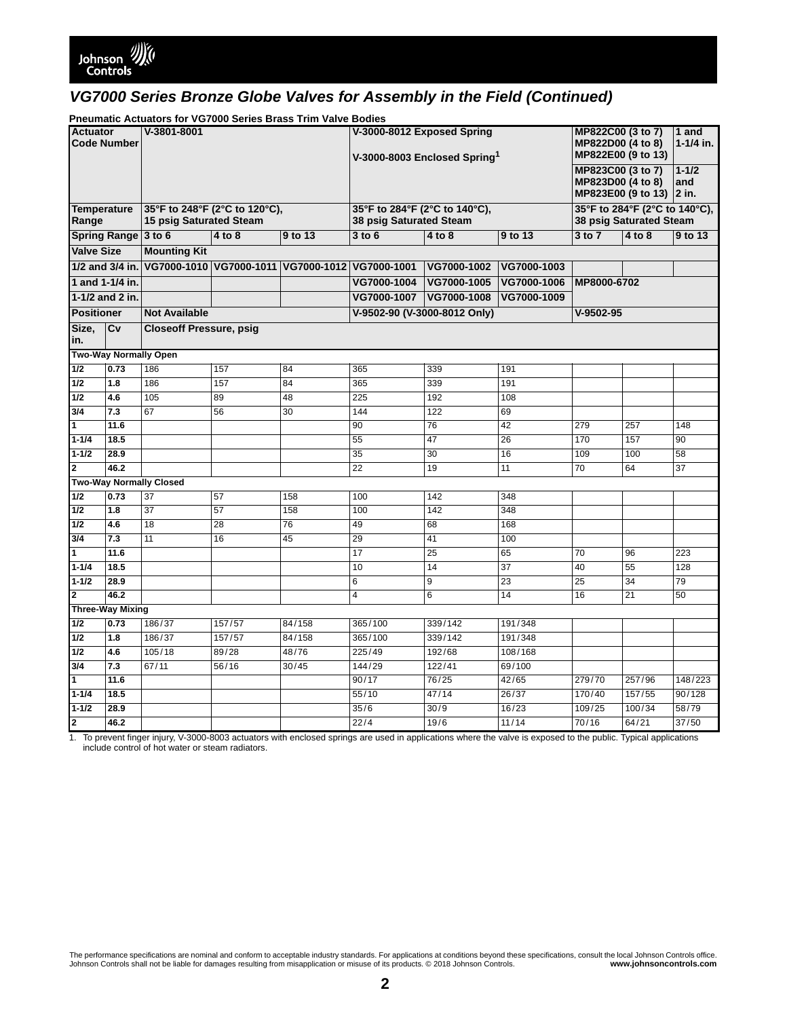**Pneumatic Actuators for VG7000 Series Brass Trim Valve Bodies**

| r neumatic Actuaturs for vorbod Jenes Drass Thin valve Doules |      |                                                          |                                                 |         |                                                                        |                                                                                   |                          |                    |        |                 |
|---------------------------------------------------------------|------|----------------------------------------------------------|-------------------------------------------------|---------|------------------------------------------------------------------------|-----------------------------------------------------------------------------------|--------------------------|--------------------|--------|-----------------|
| <b>Actuator</b><br><b>Code Number</b>                         |      | V-3801-8001                                              |                                                 |         | V-3000-8012 Exposed Spring<br>V-3000-8003 Enclosed Spring <sup>1</sup> | MP822C00 (3 to 7)<br>MP822D00 (4 to 8)<br>MP822E00 (9 to 13)<br>MP823C00 (3 to 7) |                          | 1 and<br>1-1/4 in. |        |                 |
|                                                               |      |                                                          |                                                 |         |                                                                        |                                                                                   |                          | $1 - 1/2$          |        |                 |
|                                                               |      |                                                          |                                                 |         |                                                                        |                                                                                   |                          | MP823D00 (4 to 8)  |        | and             |
|                                                               |      |                                                          |                                                 |         |                                                                        |                                                                                   | MP823E00 (9 to 13) 2 in. |                    |        |                 |
|                                                               |      |                                                          |                                                 |         | 35°F to 284°F (2°C to 140°C),                                          |                                                                                   |                          |                    |        |                 |
| <b>Temperature</b><br>Range                                   |      | 35°F to 248°F (2°C to 120°C),<br>15 psig Saturated Steam |                                                 |         | 38 psig Saturated Steam                                                | 35°F to 284°F (2°C to 140°C),<br>38 psig Saturated Steam                          |                          |                    |        |                 |
| Spring Range 3 to 6                                           |      |                                                          | 4 to 8                                          | 9 to 13 | $3$ to $6$                                                             | 4 to 8                                                                            | 9 to 13                  | $3$ to $7$         | 4 to 8 | 9 to 13         |
| <b>Valve Size</b>                                             |      | <b>Mounting Kit</b>                                      |                                                 |         |                                                                        |                                                                                   |                          |                    |        |                 |
| 1/2 and 3/4 in.                                               |      |                                                          | VG7000-1010 VG7000-1011 VG7000-1012 VG7000-1001 |         |                                                                        | VG7000-1002                                                                       | VG7000-1003              |                    |        |                 |
| 1 and 1-1/4 in.                                               |      |                                                          |                                                 |         | VG7000-1004                                                            | VG7000-1005                                                                       | VG7000-1006              | MP8000-6702        |        |                 |
| 1-1/2 and 2 in.                                               |      |                                                          |                                                 |         | VG7000-1007                                                            | VG7000-1008                                                                       | VG7000-1009              |                    |        |                 |
| <b>Positioner</b>                                             |      | <b>Not Available</b>                                     |                                                 |         |                                                                        | V-9502-90 (V-3000-8012 Only)                                                      |                          | $V-9502-95$        |        |                 |
| Size,                                                         | Cv   | <b>Closeoff Pressure, psig</b>                           |                                                 |         |                                                                        |                                                                                   |                          |                    |        |                 |
| in.                                                           |      |                                                          |                                                 |         |                                                                        |                                                                                   |                          |                    |        |                 |
|                                                               |      | <b>Two-Way Normally Open</b>                             |                                                 |         |                                                                        |                                                                                   |                          |                    |        |                 |
| 1/2                                                           | 0.73 | 186                                                      | 157                                             | 84      | 365                                                                    | 339                                                                               | 191                      |                    |        |                 |
| $1/2$                                                         | 1.8  | 186                                                      | 157                                             | 84      | 365                                                                    | 339                                                                               | 191                      |                    |        |                 |
| 1/2                                                           | 4.6  | 105                                                      | 89                                              | 48      | $\overline{225}$                                                       | 192                                                                               | 108                      |                    |        |                 |
| 3/4                                                           | 7.3  | 67                                                       | 56                                              | 30      | 144                                                                    | 122                                                                               | 69                       |                    |        |                 |
| $\overline{1}$                                                | 11.6 |                                                          |                                                 |         | 90                                                                     | 76                                                                                | 42                       | 279                | 257    | 148             |
| $1 - 1/4$                                                     | 18.5 |                                                          |                                                 |         | 55                                                                     | 47                                                                                | 26                       | 170                | 157    | 90              |
| $1 - 1/2$                                                     | 28.9 |                                                          |                                                 |         | 35                                                                     | 30                                                                                | 16                       | 109                | 100    | 58              |
| $\overline{2}$                                                | 46.2 |                                                          |                                                 |         | 22                                                                     | 19                                                                                | 11                       | $\overline{70}$    | 64     | $\overline{37}$ |
|                                                               |      | <b>Two-Way Normally Closed</b>                           |                                                 |         |                                                                        |                                                                                   |                          |                    |        |                 |
| 1/2                                                           | 0.73 | 37                                                       | 57                                              | 158     | 100                                                                    | 142                                                                               | 348                      |                    |        |                 |
| $1/2$                                                         | 1.8  | 37                                                       | 57                                              | 158     | 100                                                                    | 142                                                                               | 348                      |                    |        |                 |
| $1/2$                                                         | 4.6  | 18                                                       | 28                                              | 76      | 49                                                                     | 68                                                                                | 168                      |                    |        |                 |
| 3/4                                                           | 7.3  | 11                                                       | 16                                              | 45      | 29                                                                     | 41                                                                                | 100                      |                    |        |                 |
| ⊺न                                                            | 11.6 |                                                          |                                                 |         | 17                                                                     | 25                                                                                | 65                       | 70                 | 96     | 223             |
| $1 - 1/4$                                                     | 18.5 |                                                          |                                                 |         | 10                                                                     | $\overline{14}$                                                                   | 37                       | 40                 | 55     | 128             |
| $1 - 1/2$                                                     | 28.9 |                                                          |                                                 |         | 6                                                                      | 9                                                                                 | 23                       | 25                 | 34     | 79              |
| $\overline{2}$                                                | 46.2 |                                                          |                                                 |         | 4                                                                      | 6                                                                                 | 14                       | 16                 | 21     | 50              |
| <b>Three-Way Mixing</b>                                       |      |                                                          |                                                 |         |                                                                        |                                                                                   |                          |                    |        |                 |
| 1/2                                                           | 0.73 | 186/37                                                   | 157/57                                          | 84/158  | 365/100                                                                | 339/142                                                                           | 191/348                  |                    |        |                 |
| $1/2$                                                         | 1.8  | 186/37                                                   | 157/57                                          | 84/158  | 365/100                                                                | 339/142                                                                           | 191/348                  |                    |        |                 |
| $1/2$                                                         | 4.6  | 105/18                                                   | 89/28                                           | 48/76   | 225/49                                                                 | 192/68                                                                            | 108/168                  |                    |        |                 |
| 3/4                                                           | 7.3  | 67/11                                                    | 56/16                                           | 30/45   | 144/29                                                                 | 122/41                                                                            | 69/100                   |                    |        |                 |
| $\overline{1}$                                                | 11.6 |                                                          |                                                 |         | 90/17                                                                  | 76/25                                                                             | 42/65                    | 279/70             | 257/96 | 148/223         |
| $1 - 1/4$                                                     | 18.5 |                                                          |                                                 |         | 55/10                                                                  | 47/14                                                                             | 26/37                    | 170/40             | 157/55 | 90/128          |
| $1 - 1/2$                                                     | 28.9 |                                                          |                                                 |         | 35/6                                                                   | 30/9                                                                              | 16/23                    | 109/25             | 100/34 | 58/79           |
| $\overline{\mathbf{2}}$                                       | 46.2 |                                                          |                                                 |         | 22/4                                                                   | 19/6                                                                              | 11/14                    | 70/16              | 64/21  | 37/50           |

1. To prevent finger injury, V-3000-8003 actuators with enclosed springs are used in applications where the valve is exposed to the public. Typical applications include control of hot water or steam radiators.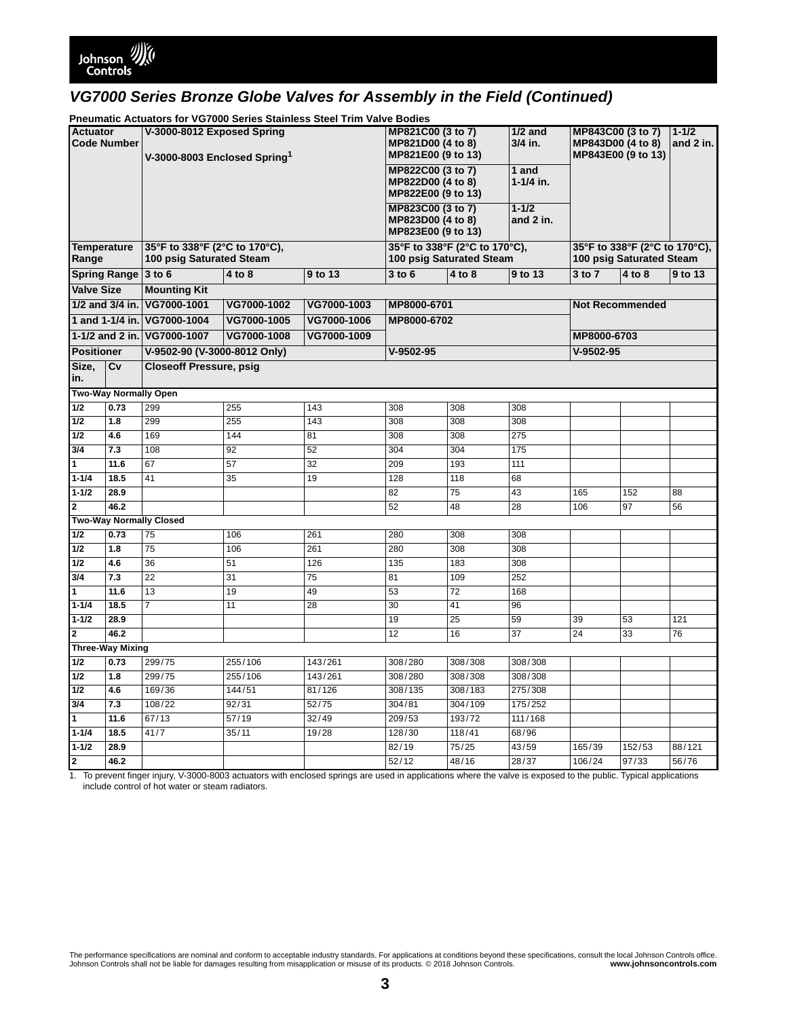

**Pneumatic Actuators for VG7000 Series Stainless Steel Trim Valve Bodies**

| <b>I Healthand Actuators for YOTOOO OCHES Otaliness Otech Think Yarve Doules</b><br><b>Actuator</b><br>V-3000-8012 Exposed Spring |                              |                                          |                    |                 |                                |                                    |                 |                                             |                               |         |
|-----------------------------------------------------------------------------------------------------------------------------------|------------------------------|------------------------------------------|--------------------|-----------------|--------------------------------|------------------------------------|-----------------|---------------------------------------------|-------------------------------|---------|
|                                                                                                                                   |                              |                                          |                    |                 | MP821C00 (3 to 7)              |                                    | $1/2$ and       | MP843C00 (3 to 7)<br>$1 - 1/2$<br>and 2 in. |                               |         |
| <b>Code Number</b>                                                                                                                |                              |                                          |                    |                 | MP821D00 (4 to 8)              |                                    | 3/4 in.         | MP843D00 (4 to 8)<br>MP843E00 (9 to 13)     |                               |         |
|                                                                                                                                   |                              | V-3000-8003 Enclosed Spring <sup>1</sup> |                    |                 | MP821E00 (9 to 13)             |                                    |                 |                                             |                               |         |
|                                                                                                                                   |                              |                                          |                    |                 | MP822C00 (3 to 7)<br>1 and     |                                    |                 |                                             |                               |         |
|                                                                                                                                   |                              |                                          |                    |                 |                                | MP822D00 (4 to 8)<br>$1 - 1/4$ in. |                 |                                             |                               |         |
|                                                                                                                                   |                              |                                          |                    |                 | MP822E00 (9 to 13)             |                                    |                 |                                             |                               |         |
|                                                                                                                                   |                              |                                          |                    |                 | MP823C00 (3 to 7)<br>$1 - 1/2$ |                                    |                 |                                             |                               |         |
|                                                                                                                                   |                              |                                          | MP823D00 (4 to 8)  |                 | and 2 in.                      |                                    |                 |                                             |                               |         |
|                                                                                                                                   |                              |                                          | MP823E00 (9 to 13) |                 |                                |                                    |                 |                                             |                               |         |
| <b>Temperature</b>                                                                                                                |                              | 35°F to 338°F (2°C to 170°C),            |                    |                 |                                | 35°F to 338°F (2°C to 170°C),      |                 |                                             | 35°F to 338°F (2°C to 170°C), |         |
| Range                                                                                                                             |                              | 100 psig Saturated Steam                 |                    |                 | 100 psig Saturated Steam       |                                    |                 |                                             | 100 psig Saturated Steam      |         |
| Spring Range 3 to 6                                                                                                               |                              |                                          | $4$ to 8           | 9 to 13         | $3$ to $6$                     | 4 to 8                             | 9 to 13         | 3 to 7                                      | 4 to 8                        | 9 to 13 |
| <b>Valve Size</b>                                                                                                                 |                              | <b>Mounting Kit</b>                      |                    |                 |                                |                                    |                 |                                             |                               |         |
| 1/2 and 3/4 in.                                                                                                                   |                              | VG7000-1001                              | VG7000-1002        | VG7000-1003     | MP8000-6701                    |                                    |                 |                                             | <b>Not Recommended</b>        |         |
|                                                                                                                                   |                              | 1 and 1-1/4 in. VG7000-1004              | VG7000-1005        | VG7000-1006     | MP8000-6702                    |                                    |                 |                                             |                               |         |
| 1-1/2 and 2 in.                                                                                                                   |                              | VG7000-1007                              | VG7000-1008        | VG7000-1009     |                                |                                    |                 | MP8000-6703                                 |                               |         |
| <b>Positioner</b>                                                                                                                 |                              | V-9502-90 (V-3000-8012 Only)             |                    |                 | $V-9502-95$                    |                                    |                 | $V-9502-95$                                 |                               |         |
| Size,                                                                                                                             | Cv                           | <b>Closeoff Pressure, psig</b>           |                    |                 |                                |                                    |                 |                                             |                               |         |
| in.                                                                                                                               |                              |                                          |                    |                 |                                |                                    |                 |                                             |                               |         |
|                                                                                                                                   | <b>Two-Way Normally Open</b> |                                          |                    |                 |                                |                                    |                 |                                             |                               |         |
| 1/2                                                                                                                               | 0.73                         | 299                                      | 255                | 143             | 308                            | 308                                | 308             |                                             |                               |         |
| 1/2                                                                                                                               | 1.8                          | 299                                      | 255                | 143             | 308                            | 308                                | 308             |                                             |                               |         |
| 1/2                                                                                                                               | 4.6                          | 169                                      | 144                | 81              | 308                            | 308                                | 275             |                                             |                               |         |
|                                                                                                                                   |                              |                                          |                    |                 |                                |                                    |                 |                                             |                               |         |
| 3/4                                                                                                                               | 7.3                          | 108                                      | 92                 | 52              | 304                            | 304                                | 175             |                                             |                               |         |
| $\overline{1}$                                                                                                                    | 11.6                         | 67                                       | 57                 | $\overline{32}$ | 209                            | 193                                | 111             |                                             |                               |         |
| $1 - 1/4$                                                                                                                         | 18.5                         | 41                                       | 35                 | 19              | 128                            | 118                                | 68              |                                             |                               |         |
| $1 - 1/2$                                                                                                                         | 28.9                         |                                          |                    |                 | 82                             | 75                                 | 43              | 165                                         | 152                           | 88      |
| $\overline{2}$                                                                                                                    | 46.2                         |                                          |                    |                 | 52                             | 48                                 | 28              | 106                                         | 97                            | 56      |
|                                                                                                                                   |                              | <b>Two-Way Normally Closed</b>           |                    |                 |                                |                                    |                 |                                             |                               |         |
| $\overline{1/2}$                                                                                                                  | 0.73                         | 75                                       | 106                | 261             | 280                            | 308                                | 308             |                                             |                               |         |
| 1/2                                                                                                                               | 1.8                          | 75                                       | 106                | 261             | 280                            | 308                                | 308             |                                             |                               |         |
| $1/2$                                                                                                                             | 4.6                          | 36                                       | 51                 | 126             | 135                            | 183                                | 308             |                                             |                               |         |
| 3/4                                                                                                                               | 7.3                          | 22                                       | 31                 | 75              | 81                             | 109                                | 252             |                                             |                               |         |
|                                                                                                                                   |                              |                                          |                    |                 |                                |                                    |                 |                                             |                               |         |
| 11                                                                                                                                | 11.6                         | 13                                       | 19                 | 49              | 53                             | $\overline{72}$                    | 168             |                                             |                               |         |
| $\sqrt{1-1/4}$                                                                                                                    | 18.5                         | 7                                        | 11                 | 28              | 30                             | 41                                 | 96              |                                             |                               |         |
| $1 - 1/2$                                                                                                                         | 28.9                         |                                          |                    |                 | 19                             | 25                                 | 59              | 39                                          | 53                            | 121     |
| $\overline{2}$                                                                                                                    | 46.2                         |                                          |                    |                 | $\overline{12}$                | 16                                 | $\overline{37}$ | $\overline{24}$                             | 33                            | 76      |
|                                                                                                                                   | <b>Three-Way Mixing</b>      |                                          |                    |                 |                                |                                    |                 |                                             |                               |         |
| $1/2$                                                                                                                             | 0.73                         | 299/75                                   | 255/106            | 143/261         | 308/280                        | 308/308                            | 308/308         |                                             |                               |         |
| 1/2                                                                                                                               | 1.8                          | 299/75                                   | 255/106            | 143/261         | 308/280                        | 308/308                            | 308/308         |                                             |                               |         |
| $1/2$                                                                                                                             | 4.6                          | 169/36                                   | 144/51             | 81/126          | 308/135                        | 308/183                            | 275/308         |                                             |                               |         |
| 3/4                                                                                                                               | 7.3                          | 108/22                                   | 92/31              | 52/75           | 304/81                         | 304/109                            | 175/252         |                                             |                               |         |
| $\overline{1}$                                                                                                                    | 11.6                         | 67/13                                    | 57/19              | 32/49           | 209/53                         | 193/72                             | 111/168         |                                             |                               |         |
| $1 - 1/4$                                                                                                                         | 18.5                         | 41/7                                     | 35/11              | 19/28           | 128/30                         | 118/41                             | 68/96           |                                             |                               |         |
| $1 - 1/2$                                                                                                                         | 28.9                         |                                          |                    |                 | 82/19                          | 75/25                              | 43/59           | 165/39                                      | 152/53                        | 88/121  |
| $\overline{\mathbf{2}}$                                                                                                           | 46.2                         |                                          |                    |                 | 52/12                          | 48/16                              | 28/37           | 106/24                                      | 97/33                         | 56/76   |
|                                                                                                                                   |                              |                                          |                    |                 |                                |                                    |                 |                                             |                               |         |

1. To prevent finger injury, V-3000-8003 actuators with enclosed springs are used in applications where the valve is exposed to the public. Typical applications include control of hot water or steam radiators.

The performance specifications are nominal and conform to acceptable industry standards. For applications at conditions beyond these specifications, consult the local Johnson Controls office.<br>Johnson Controls . some www.jo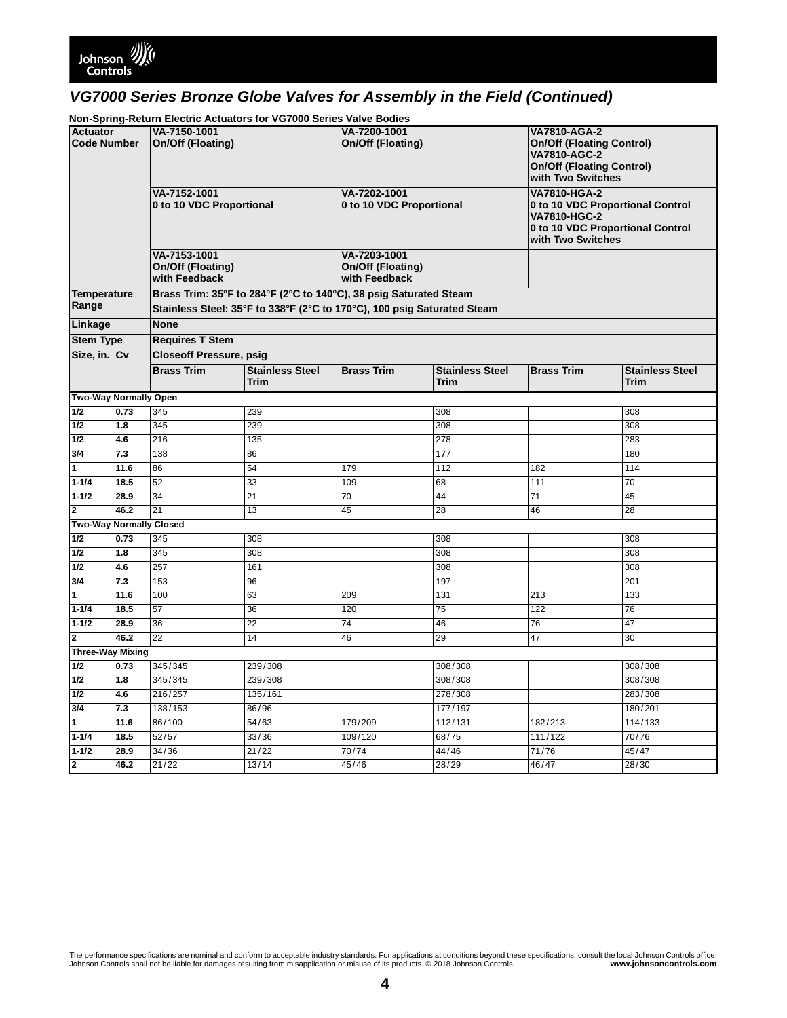

**Non-Spring-Return Electric Actuators for VG7000 Series Valve Bodies**

| <b>Actuator</b>                |              | VA-7150-1001                                       |                                                                         | VA-7200-1001                                       |                                | <b>VA7810-AGA-2</b>                                                                                                              |                                |  |
|--------------------------------|--------------|----------------------------------------------------|-------------------------------------------------------------------------|----------------------------------------------------|--------------------------------|----------------------------------------------------------------------------------------------------------------------------------|--------------------------------|--|
| <b>Code Number</b>             |              | On/Off (Floating)                                  |                                                                         | On/Off (Floating)                                  |                                | <b>On/Off (Floating Control)</b><br><b>VA7810-AGC-2</b><br><b>On/Off (Floating Control)</b><br>with Two Switches                 |                                |  |
|                                |              | VA-7152-1001<br>0 to 10 VDC Proportional           |                                                                         | VA-7202-1001<br>0 to 10 VDC Proportional           |                                | <b>VA7810-HGA-2</b><br>0 to 10 VDC Proportional Control<br>VA7810-HGC-2<br>0 to 10 VDC Proportional Control<br>with Two Switches |                                |  |
|                                |              | VA-7153-1001<br>On/Off (Floating)<br>with Feedback |                                                                         | VA-7203-1001<br>On/Off (Floating)<br>with Feedback |                                |                                                                                                                                  |                                |  |
| <b>Temperature</b>             |              |                                                    | Brass Trim: 35°F to 284°F (2°C to 140°C), 38 psig Saturated Steam       |                                                    |                                |                                                                                                                                  |                                |  |
| Range                          |              |                                                    | Stainless Steel: 35°F to 338°F (2°C to 170°C), 100 psig Saturated Steam |                                                    |                                |                                                                                                                                  |                                |  |
| Linkage                        |              | <b>None</b>                                        |                                                                         |                                                    |                                |                                                                                                                                  |                                |  |
| <b>Stem Type</b>               |              | <b>Requires T Stem</b>                             |                                                                         |                                                    |                                |                                                                                                                                  |                                |  |
| Size, in. Cv                   |              | <b>Closeoff Pressure, psig</b>                     |                                                                         |                                                    |                                |                                                                                                                                  |                                |  |
|                                |              | <b>Brass Trim</b>                                  | <b>Stainless Steel</b><br><b>Trim</b>                                   | <b>Brass Trim</b>                                  | <b>Stainless Steel</b><br>Trim | <b>Brass Trim</b>                                                                                                                | <b>Stainless Steel</b><br>Trim |  |
| <b>Two-Way Normally Open</b>   |              |                                                    |                                                                         |                                                    |                                |                                                                                                                                  |                                |  |
| 1/2                            | 0.73         | 345                                                | 239                                                                     |                                                    | 308                            |                                                                                                                                  | 308                            |  |
| 1/2                            | 1.8          | 345                                                | 239                                                                     |                                                    | 308                            |                                                                                                                                  | 308                            |  |
| 1/2                            | 4.6          | $\overline{216}$                                   | 135                                                                     |                                                    | 278                            |                                                                                                                                  | 283                            |  |
| 3/4                            | 7.3          | 138                                                | 86                                                                      |                                                    | 177                            |                                                                                                                                  | 180                            |  |
| $\overline{1}$                 | 11.6         | 86                                                 | 54                                                                      | 179                                                | 112                            | 182                                                                                                                              | 114                            |  |
| $1 - 1/4$                      | 18.5         | $\overline{52}$                                    | 33                                                                      | 109                                                | 68                             | 111                                                                                                                              | 70                             |  |
| $1 - 1/2$                      | 28.9         | $\overline{34}$                                    | $\overline{21}$                                                         | 70                                                 | 44                             | $\overline{71}$                                                                                                                  | 45                             |  |
| $\overline{2}$                 | 46.2         | 21                                                 | 13                                                                      | 45                                                 | 28                             | 46                                                                                                                               | 28                             |  |
| <b>Two-Way Normally Closed</b> |              |                                                    |                                                                         |                                                    |                                |                                                                                                                                  |                                |  |
| 1/2                            | 0.73         | 345                                                | 308                                                                     |                                                    | 308                            |                                                                                                                                  | 308                            |  |
| 1/2                            | 1.8          | 345                                                | 308                                                                     |                                                    | 308                            |                                                                                                                                  | 308                            |  |
| 1/2                            | 4.6          | 257                                                | 161                                                                     |                                                    | 308                            |                                                                                                                                  | 308                            |  |
| 3/4                            | 7.3          | 153                                                | 96                                                                      |                                                    | 197                            |                                                                                                                                  | 201                            |  |
| $\overline{1}$                 | 11.6         | 100                                                | 63                                                                      | 209                                                | 131                            | 213                                                                                                                              | 133                            |  |
| $1 - 1/4$<br>$1 - 1/2$         | 18.5<br>28.9 | 57                                                 | 36<br>$\overline{22}$                                                   | 120<br>$\overline{74}$                             | 75                             | 122<br>76                                                                                                                        | 76<br>47                       |  |
| $\overline{2}$                 | 46.2         | 36<br>$\overline{22}$                              | 14                                                                      | 46                                                 | 46<br>29                       | 47                                                                                                                               | 30                             |  |
| <b>Three-Way Mixing</b>        |              |                                                    |                                                                         |                                                    |                                |                                                                                                                                  |                                |  |
| 1/2                            | 0.73         | 345/345                                            | 239/308                                                                 |                                                    | 308/308                        |                                                                                                                                  | 308/308                        |  |
| 1/2                            | 1.8          | 345/345                                            | 239/308                                                                 |                                                    | 308/308                        |                                                                                                                                  | 308/308                        |  |
| 1/2                            | 4.6          | 216/257                                            | 135/161                                                                 |                                                    | 278/308                        |                                                                                                                                  | 283/308                        |  |
| 3/4                            | 7.3          | 138/153                                            | 86/96                                                                   |                                                    | 177/197                        |                                                                                                                                  | 180/201                        |  |
| $\mathbf{1}$                   | 11.6         | 86/100                                             | 54/63                                                                   | 179/209                                            | 112/131                        | 182/213                                                                                                                          | 114/133                        |  |
| $1 - 1/4$                      | 18.5         | 52/57                                              | 33/36                                                                   | 109/120                                            | 68/75                          | 111/122                                                                                                                          | 70/76                          |  |
| $1 - 1/2$                      | 28.9         | 34/36                                              | 21/22                                                                   | 70/74                                              | 44/46                          | 71/76                                                                                                                            | 45/47                          |  |
| $\overline{2}$                 | 46.2         | 21/22                                              | 13/14                                                                   | 45/46                                              | 28/29                          | 46/47                                                                                                                            | 28/30                          |  |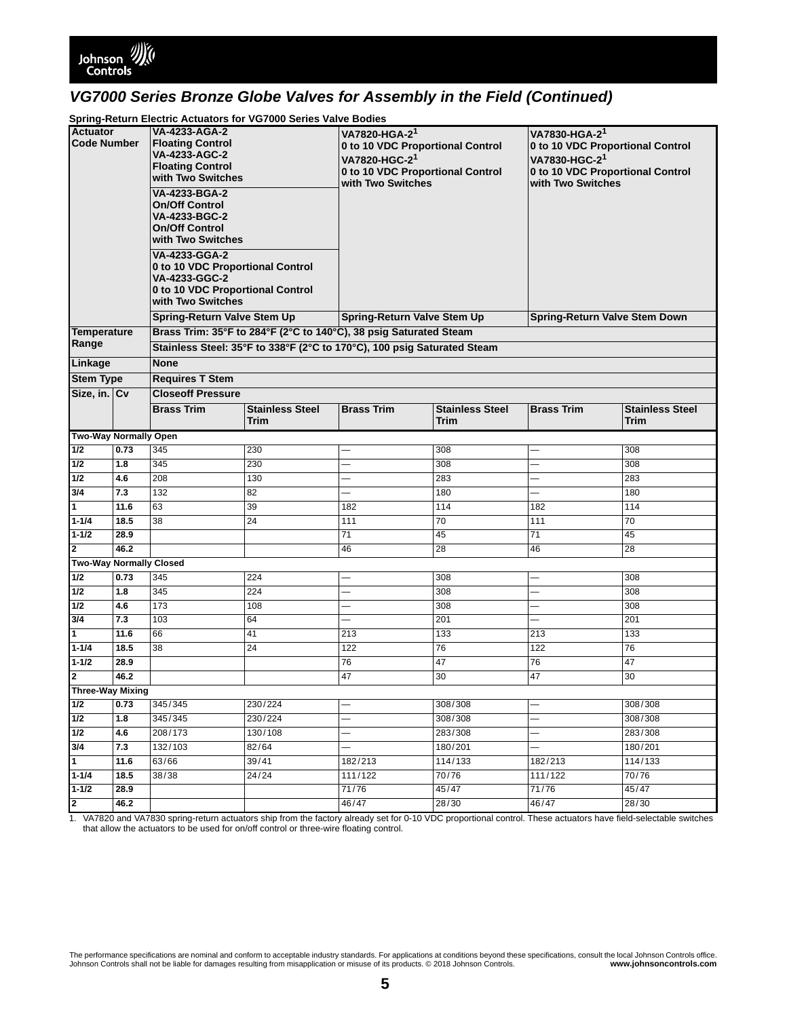

### **Spring-Return Electric Actuators for VG7000 Series Valve Bodies**

| Actuator<br><b>Code Number</b> |      | VA-4233-AGA-2<br><b>Floating Control</b><br>VA-4233-AGC-2<br><b>Floating Control</b><br>with Two Switches<br>VA-4233-BGA-2<br><b>On/Off Control</b><br>VA-4233-BGC-2<br><b>On/Off Control</b><br>with Two Switches<br>VA-4233-GGA-2<br>0 to 10 VDC Proportional Control<br>VA-4233-GGC-2<br>0 to 10 VDC Proportional Control<br>with Two Switches<br><b>Spring-Return Valve Stem Up</b> |                                                                         | VA7820-HGA-2 <sup>1</sup><br>0 to 10 VDC Proportional Control<br>VA7820-HGC-21<br>0 to 10 VDC Proportional Control<br>with Two Switches<br><b>Spring-Return Valve Stem Up</b> |                                | VA7830-HGA-2 <sup>1</sup><br>0 to 10 VDC Proportional Control<br>VA7830-HGC-21<br>0 to 10 VDC Proportional Control<br>with Two Switches |                                |  |
|--------------------------------|------|-----------------------------------------------------------------------------------------------------------------------------------------------------------------------------------------------------------------------------------------------------------------------------------------------------------------------------------------------------------------------------------------|-------------------------------------------------------------------------|-------------------------------------------------------------------------------------------------------------------------------------------------------------------------------|--------------------------------|-----------------------------------------------------------------------------------------------------------------------------------------|--------------------------------|--|
| <b>Temperature</b>             |      |                                                                                                                                                                                                                                                                                                                                                                                         | Brass Trim: 35°F to 284°F (2°C to 140°C), 38 psig Saturated Steam       |                                                                                                                                                                               |                                | <b>Spring-Return Valve Stem Down</b>                                                                                                    |                                |  |
| Range                          |      |                                                                                                                                                                                                                                                                                                                                                                                         | Stainless Steel: 35°F to 338°F (2°C to 170°C), 100 psig Saturated Steam |                                                                                                                                                                               |                                |                                                                                                                                         |                                |  |
| Linkage                        |      | <b>None</b>                                                                                                                                                                                                                                                                                                                                                                             |                                                                         |                                                                                                                                                                               |                                |                                                                                                                                         |                                |  |
| <b>Stem Type</b>               |      | <b>Requires T Stem</b>                                                                                                                                                                                                                                                                                                                                                                  |                                                                         |                                                                                                                                                                               |                                |                                                                                                                                         |                                |  |
| Size, in. Cv                   |      | <b>Closeoff Pressure</b>                                                                                                                                                                                                                                                                                                                                                                |                                                                         |                                                                                                                                                                               |                                |                                                                                                                                         |                                |  |
|                                |      | <b>Brass Trim</b>                                                                                                                                                                                                                                                                                                                                                                       | <b>Stainless Steel</b><br>Trim                                          | <b>Brass Trim</b>                                                                                                                                                             | <b>Stainless Steel</b><br>Trim | <b>Brass Trim</b>                                                                                                                       | <b>Stainless Steel</b><br>Trim |  |
| Two-Way Normally Open          |      |                                                                                                                                                                                                                                                                                                                                                                                         |                                                                         |                                                                                                                                                                               |                                |                                                                                                                                         |                                |  |
| 1/2                            | 0.73 | 345                                                                                                                                                                                                                                                                                                                                                                                     | 230                                                                     | ÷                                                                                                                                                                             | 308                            |                                                                                                                                         | 308                            |  |
| 1/2                            | 1.8  | 345                                                                                                                                                                                                                                                                                                                                                                                     | 230                                                                     |                                                                                                                                                                               | 308                            |                                                                                                                                         | 308                            |  |
| $1/2$                          | 4.6  | 208                                                                                                                                                                                                                                                                                                                                                                                     | 130                                                                     | $\overline{\phantom{0}}$                                                                                                                                                      | 283                            | ÷,                                                                                                                                      | 283                            |  |
| 3/4                            | 7.3  | 132                                                                                                                                                                                                                                                                                                                                                                                     | 82                                                                      | $\overline{\phantom{0}}$                                                                                                                                                      | 180                            | —                                                                                                                                       | 180                            |  |
| $\overline{1}$                 | 11.6 | 63                                                                                                                                                                                                                                                                                                                                                                                      | 39                                                                      | 182                                                                                                                                                                           | 114                            | 182                                                                                                                                     | 114                            |  |
| $1 - 1/4$                      | 18.5 | 38                                                                                                                                                                                                                                                                                                                                                                                      | 24                                                                      | 111                                                                                                                                                                           | 70                             | 111                                                                                                                                     | 70                             |  |
| $1 - 1/2$                      | 28.9 |                                                                                                                                                                                                                                                                                                                                                                                         |                                                                         | 71                                                                                                                                                                            | 45                             | 71                                                                                                                                      | 45                             |  |
| $\overline{\mathbf{2}}$        | 46.2 |                                                                                                                                                                                                                                                                                                                                                                                         |                                                                         | 46                                                                                                                                                                            | 28                             | 46                                                                                                                                      | 28                             |  |
| <b>Two-Way Normally Closed</b> | 0.73 |                                                                                                                                                                                                                                                                                                                                                                                         |                                                                         |                                                                                                                                                                               |                                |                                                                                                                                         |                                |  |
| $1/2$<br>1/2                   | 1.8  | 345<br>345                                                                                                                                                                                                                                                                                                                                                                              | 224<br>224                                                              | -<br>-                                                                                                                                                                        | 308<br>308                     |                                                                                                                                         | 308<br>308                     |  |
| $1/2$                          | 4.6  | 173                                                                                                                                                                                                                                                                                                                                                                                     | 108                                                                     | $\overline{\phantom{0}}$                                                                                                                                                      | 308                            | $\overline{\phantom{0}}$                                                                                                                | 308                            |  |
| 3/4                            | 7.3  | 103                                                                                                                                                                                                                                                                                                                                                                                     | 64                                                                      | $\overline{\phantom{0}}$                                                                                                                                                      | 201                            | $\overline{\phantom{0}}$                                                                                                                | 201                            |  |
| $\overline{1}$                 | 11.6 | 66                                                                                                                                                                                                                                                                                                                                                                                      | 41                                                                      | 213                                                                                                                                                                           | 133                            | 213                                                                                                                                     | 133                            |  |
| $1 - 1/4$                      | 18.5 | 38                                                                                                                                                                                                                                                                                                                                                                                      | 24                                                                      | 122                                                                                                                                                                           | 76                             | 122                                                                                                                                     | 76                             |  |
| $1 - 1/2$                      | 28.9 |                                                                                                                                                                                                                                                                                                                                                                                         |                                                                         | 76                                                                                                                                                                            | 47                             | 76                                                                                                                                      | 47                             |  |
| $\overline{2}$                 | 46.2 |                                                                                                                                                                                                                                                                                                                                                                                         |                                                                         | 47                                                                                                                                                                            | 30                             | 47                                                                                                                                      | 30                             |  |
| <b>Three-Way Mixing</b>        |      |                                                                                                                                                                                                                                                                                                                                                                                         |                                                                         |                                                                                                                                                                               |                                |                                                                                                                                         |                                |  |
| 1/2                            | 0.73 | 345/345                                                                                                                                                                                                                                                                                                                                                                                 | 230/224                                                                 |                                                                                                                                                                               | 308/308                        |                                                                                                                                         | 308/308                        |  |
| 1/2                            | 1.8  | 345/345                                                                                                                                                                                                                                                                                                                                                                                 | 230/224                                                                 |                                                                                                                                                                               | 308/308                        |                                                                                                                                         | 308/308                        |  |
| 1/2                            | 4.6  | 208/173                                                                                                                                                                                                                                                                                                                                                                                 | 130/108                                                                 | $\overline{\phantom{0}}$                                                                                                                                                      | 283/308                        | —                                                                                                                                       | 283/308                        |  |
| 3/4                            | 7.3  | 132/103                                                                                                                                                                                                                                                                                                                                                                                 | 82/64                                                                   | -                                                                                                                                                                             | 180/201                        | —                                                                                                                                       | 180/201                        |  |
| $\overline{1}$                 | 11.6 | 63/66                                                                                                                                                                                                                                                                                                                                                                                   | 39/41                                                                   | 182/213                                                                                                                                                                       | 114/133                        | 182/213                                                                                                                                 | 114/133                        |  |
| $1 - 1/4$                      | 18.5 | 38/38                                                                                                                                                                                                                                                                                                                                                                                   | 24/24                                                                   | 111/122                                                                                                                                                                       | 70/76                          | 111/122                                                                                                                                 | 70/76                          |  |
| $1 - 1/2$                      | 28.9 |                                                                                                                                                                                                                                                                                                                                                                                         |                                                                         | 71/76                                                                                                                                                                         | 45/47                          | 71/76                                                                                                                                   | 45/47                          |  |
| $\overline{2}$                 | 46.2 |                                                                                                                                                                                                                                                                                                                                                                                         |                                                                         | 46/47                                                                                                                                                                         | 28/30                          | 46/47                                                                                                                                   | 28/30                          |  |

<span id="page-4-0"></span>1. VA7820 and VA7830 spring-return actuators ship from the factory already set for 0-10 VDC proportional control. These actuators have field-selectable switches that allow the actuators to be used for on/off control or three-wire floating control.

The performance specifications are nominal and conform to acceptable industry standards. For applications at conditions beyond these specifications, consult the local Johnson Controls office.<br>Johnson Controls . some www.jo